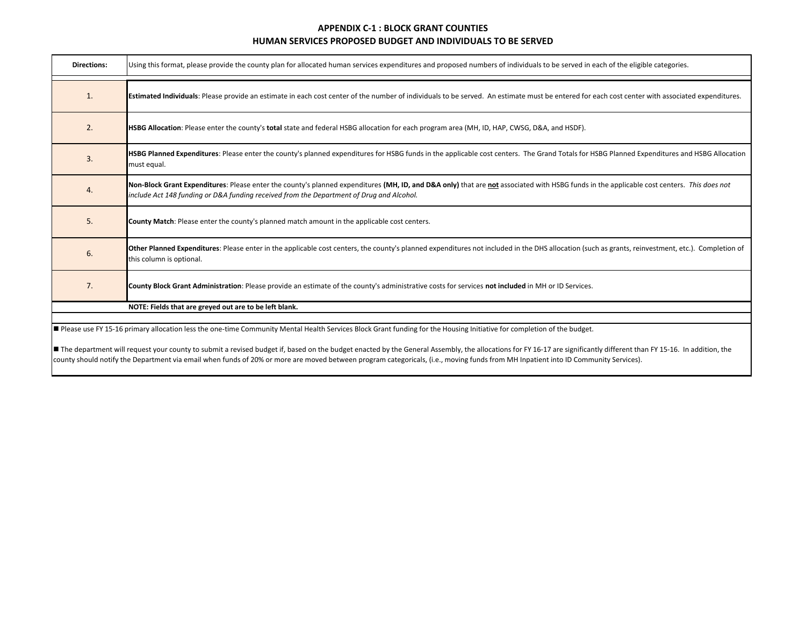| <b>Directions:</b> | Using this format, please provide the county plan for allocated human services expenditures and proposed numbers of individuals to be served in each of the eligible categories.                                                                                                                                                                                                         |
|--------------------|------------------------------------------------------------------------------------------------------------------------------------------------------------------------------------------------------------------------------------------------------------------------------------------------------------------------------------------------------------------------------------------|
| 1.                 | Estimated Individuals: Please provide an estimate in each cost center of the number of individuals to be served. An estimate must be entered for each cost center with associated expenditures.                                                                                                                                                                                          |
| 2.                 | HSBG Allocation: Please enter the county's total state and federal HSBG allocation for each program area (MH, ID, HAP, CWSG, D&A, and HSDF).                                                                                                                                                                                                                                             |
| 3.                 | HSBG Planned Expenditures: Please enter the county's planned expenditures for HSBG funds in the applicable cost centers. The Grand Totals for HSBG Planned Expenditures and HSBG Allocation<br>must equal.                                                                                                                                                                               |
| 4.                 | Non-Block Grant Expenditures: Please enter the county's planned expenditures (MH, ID, and D&A only) that are not associated with HSBG funds in the applicable cost centers. This does not<br>include Act 148 funding or D&A funding received from the Department of Drug and Alcohol.                                                                                                    |
| 5.                 | County Match: Please enter the county's planned match amount in the applicable cost centers.                                                                                                                                                                                                                                                                                             |
| 6.                 | Other Planned Expenditures: Please enter in the applicable cost centers, the county's planned expenditures not included in the DHS allocation (such as grants, reinvestment, etc.). Completion of<br>this column is optional.                                                                                                                                                            |
| 7.                 | County Block Grant Administration: Please provide an estimate of the county's administrative costs for services not included in MH or ID Services.                                                                                                                                                                                                                                       |
|                    | NOTE: Fields that are greyed out are to be left blank.                                                                                                                                                                                                                                                                                                                                   |
|                    | Please use FY 15-16 primary allocation less the one-time Community Mental Health Services Block Grant funding for the Housing Initiative for completion of the budget.<br>The dependence will request your country our braid a regional burdent if board an the burdent created butler Concret According the clientians for FV 16.17 are similized the different than FV 15.16. And then |

**■** The department will request your county to submit a revised budget if, based on the budget enacted by the General Assembly, the allocations for FY 16-17 are significantly different than FY 15-16. In addition, the county should notify the Department via email when funds of 20% or more are moved between program categoricals, (i.e., moving funds from MH Inpatient into ID Community Services).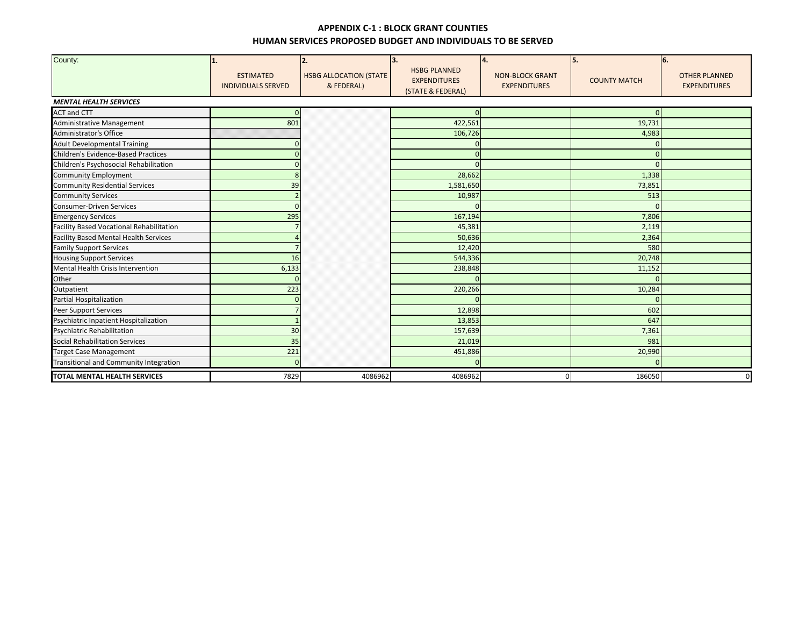| County:                                      | 1.<br><b>ESTIMATED</b><br><b>INDIVIDUALS SERVED</b> | 2.<br><b>HSBG ALLOCATION (STATE</b><br>& FEDERAL) | 3.<br><b>HSBG PLANNED</b><br><b>EXPENDITURES</b><br>(STATE & FEDERAL) | 4.<br><b>NON-BLOCK GRANT</b><br><b>EXPENDITURES</b> | 5.<br><b>COUNTY MATCH</b> | 6.<br><b>OTHER PLANNED</b><br><b>EXPENDITURES</b> |
|----------------------------------------------|-----------------------------------------------------|---------------------------------------------------|-----------------------------------------------------------------------|-----------------------------------------------------|---------------------------|---------------------------------------------------|
| <b>MENTAL HEALTH SERVICES</b>                |                                                     |                                                   |                                                                       |                                                     |                           |                                                   |
| <b>ACT and CTT</b>                           |                                                     |                                                   |                                                                       |                                                     |                           |                                                   |
| Administrative Management                    | 801                                                 |                                                   | 422,561                                                               |                                                     | 19,731                    |                                                   |
| <b>Administrator's Office</b>                |                                                     |                                                   | 106,726                                                               |                                                     | 4,983                     |                                                   |
| <b>Adult Developmental Training</b>          |                                                     |                                                   |                                                                       |                                                     |                           |                                                   |
| <b>Children's Evidence-Based Practices</b>   |                                                     |                                                   |                                                                       |                                                     | $\Omega$                  |                                                   |
| Children's Psychosocial Rehabilitation       |                                                     |                                                   |                                                                       |                                                     |                           |                                                   |
| <b>Community Employment</b>                  |                                                     |                                                   | 28,662                                                                |                                                     | 1,338                     |                                                   |
| <b>Community Residential Services</b>        | 39                                                  |                                                   | 1,581,650                                                             |                                                     | 73,851                    |                                                   |
| <b>Community Services</b>                    |                                                     |                                                   | 10,987                                                                |                                                     | 513                       |                                                   |
| <b>Consumer-Driven Services</b>              |                                                     |                                                   |                                                                       |                                                     | $\Omega$                  |                                                   |
| <b>Emergency Services</b>                    | 295                                                 |                                                   | 167,194                                                               |                                                     | 7,806                     |                                                   |
| Facility Based Vocational Rehabilitation     |                                                     |                                                   | 45,381                                                                |                                                     | 2,119                     |                                                   |
| <b>Facility Based Mental Health Services</b> |                                                     |                                                   | 50,636                                                                |                                                     | 2,364                     |                                                   |
| <b>Family Support Services</b>               |                                                     |                                                   | 12,420                                                                |                                                     | 580                       |                                                   |
| <b>Housing Support Services</b>              | 16                                                  |                                                   | 544,336                                                               |                                                     | 20,748                    |                                                   |
| Mental Health Crisis Intervention            | 6,133                                               |                                                   | 238,848                                                               |                                                     | 11,152                    |                                                   |
| Other                                        |                                                     |                                                   |                                                                       |                                                     |                           |                                                   |
| Outpatient                                   | 223                                                 |                                                   | 220,266                                                               |                                                     | 10,284                    |                                                   |
| Partial Hospitalization                      |                                                     |                                                   |                                                                       |                                                     | $\Omega$                  |                                                   |
| <b>Peer Support Services</b>                 |                                                     |                                                   | 12,898                                                                |                                                     | 602                       |                                                   |
| Psychiatric Inpatient Hospitalization        |                                                     |                                                   | 13,853                                                                |                                                     | 647                       |                                                   |
| <b>Psychiatric Rehabilitation</b>            | 30                                                  |                                                   | 157,639                                                               |                                                     | 7,361                     |                                                   |
| Social Rehabilitation Services               | 35                                                  |                                                   | 21,019                                                                |                                                     | 981                       |                                                   |
| <b>Target Case Management</b>                | 221                                                 |                                                   | 451,886                                                               |                                                     | 20,990                    |                                                   |
| Transitional and Community Integration       |                                                     |                                                   |                                                                       |                                                     |                           |                                                   |
| <b>TOTAL MENTAL HEALTH SERVICES</b>          | 7829                                                | 4086962                                           | 4086962                                                               |                                                     | 186050                    |                                                   |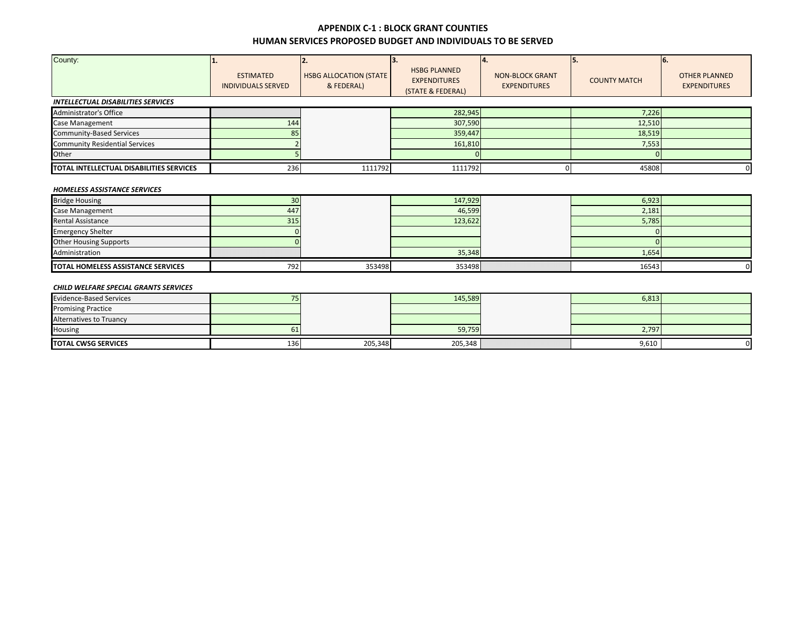| County:                                   | <b>ESTIMATED</b><br><b>INDIVIDUALS SERVED</b> | <b>HSBG ALLOCATION (STATE</b><br>& FEDERAL) | 13.<br><b>HSBG PLANNED</b><br><b>EXPENDITURES</b><br>(STATE & FEDERAL) | <b>NON-BLOCK GRANT</b><br><b>EXPENDITURES</b> | <b>COUNTY MATCH</b> | ю.<br><b>OTHER PLANNED</b><br><b>EXPENDITURES</b> |  |
|-------------------------------------------|-----------------------------------------------|---------------------------------------------|------------------------------------------------------------------------|-----------------------------------------------|---------------------|---------------------------------------------------|--|
| <b>INTELLECTUAL DISABILITIES SERVICES</b> |                                               |                                             |                                                                        |                                               |                     |                                                   |  |
| Administrator's Office                    |                                               |                                             | 282,945                                                                |                                               | 7,226               |                                                   |  |
| Case Management                           | 144                                           |                                             | 307,590                                                                |                                               | 12,510              |                                                   |  |
| <b>Community-Based Services</b>           | 85                                            |                                             | 359,447                                                                |                                               | 18,519              |                                                   |  |
| <b>Community Residential Services</b>     |                                               |                                             | 161,810                                                                |                                               | 7,553               |                                                   |  |
| Other                                     |                                               |                                             |                                                                        |                                               |                     |                                                   |  |
| TOTAL INTELLECTUAL DISABILITIES SERVICES  | 236                                           | 1111792                                     | 1111792                                                                |                                               | 45808               |                                                   |  |
| <b>HOMELESS ASSISTANCE SERVICES</b>       |                                               |                                             |                                                                        |                                               |                     |                                                   |  |
| <b>Bridge Housing</b>                     | 30 <sup>°</sup>                               |                                             | 147,929                                                                |                                               | 6,923               |                                                   |  |

| <b>TOTAL HOMELESS ASSISTANCE SERVICES</b> | 792 | 353498 | 353498      | 16543 | O. |
|-------------------------------------------|-----|--------|-------------|-------|----|
| Administration                            |     |        | 35,348      | 1,654 |    |
| <b>Other Housing Supports</b>             |     |        |             |       |    |
| <b>Emergency Shelter</b>                  |     |        |             |       |    |
| <b>Rental Assistance</b>                  | 315 |        | 123.622     | 5,785 |    |
| <b>Case Management</b>                    | 44, |        | 46,599      | 2,181 |    |
| <b>PUTUSE LIQUOILIS</b>                   | JV. |        | <b>THIS</b> | 0,020 |    |

#### *CHILD WELFARE SPECIAL GRANTS SERVICES*

| <b>Evidence-Based Services</b> |     |         | 145,589 | 6,813 |    |
|--------------------------------|-----|---------|---------|-------|----|
| <b>Promising Practice</b>      |     |         |         |       |    |
| <b>Alternatives to Truancy</b> |     |         |         |       |    |
| Housing                        | oт  |         | 59,759  | 2,797 |    |
| <b>TOTAL CWSG SERVICES</b>     | 136 | 205,348 | 205,348 | 9,610 | 01 |